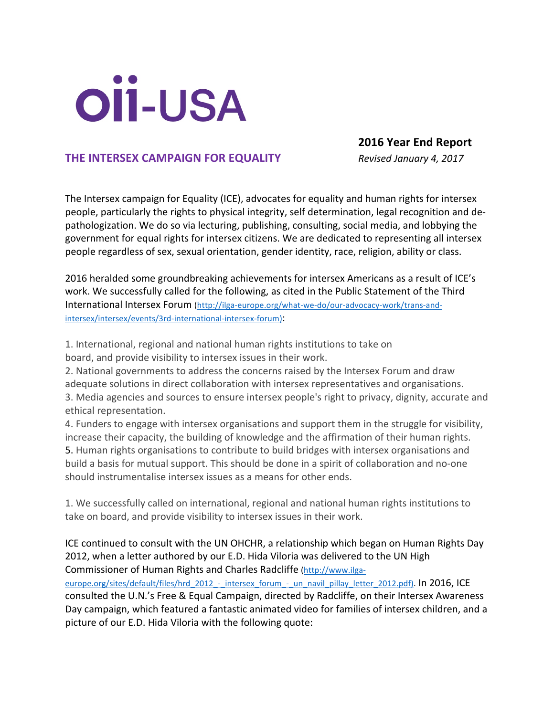# OÏİ-USA

## **2016 Year End Report**

## **THE INTERSEX CAMPAIGN FOR EQUALITY** *Revised January 4, 2017*

The Intersex campaign for Equality (ICE), advocates for equality and human rights for intersex people, particularly the rights to physical integrity, self determination, legal recognition and depathologization. We do so via lecturing, publishing, consulting, social media, and lobbying the government for equal rights for intersex citizens. We are dedicated to representing all intersex people regardless of sex, sexual orientation, gender identity, race, religion, ability or class.

2016 heralded some groundbreaking achievements for intersex Americans as a result of ICE's work. We successfully called for the following, as cited in the Public Statement of the Third International Intersex Forum (http://ilga-europe.org/what-we-do/our-advocacy-work/trans-andintersex/intersex/events/3rd-international-intersex-forum):

1. International, regional and national human rights institutions to take on board, and provide visibility to intersex issues in their work.

2. National governments to address the concerns raised by the Intersex Forum and draw adequate solutions in direct collaboration with intersex representatives and organisations. 3. Media agencies and sources to ensure intersex people's right to privacy, dignity, accurate and ethical representation.

4. Funders to engage with intersex organisations and support them in the struggle for visibility, increase their capacity, the building of knowledge and the affirmation of their human rights. 5. Human rights organisations to contribute to build bridges with intersex organisations and build a basis for mutual support. This should be done in a spirit of collaboration and no-one should instrumentalise intersex issues as a means for other ends.

1. We successfully called on international, regional and national human rights institutions to take on board, and provide visibility to intersex issues in their work.

## ICE continued to consult with the UN OHCHR, a relationship which began on Human Rights Day 2012, when a letter authored by our E.D. Hida Viloria was delivered to the UN High Commissioner of Human Rights and Charles Radcliffe (http://www.ilga-

europe.org/sites/default/files/hrd\_2012\_-\_intersex\_forum\_-\_un\_navil\_pillay\_letter\_2012.pdf). In 2016, ICE consulted the U.N.'s Free & Equal Campaign, directed by Radcliffe, on their Intersex Awareness Day campaign, which featured a fantastic animated video for families of intersex children, and a picture of our E.D. Hida Viloria with the following quote: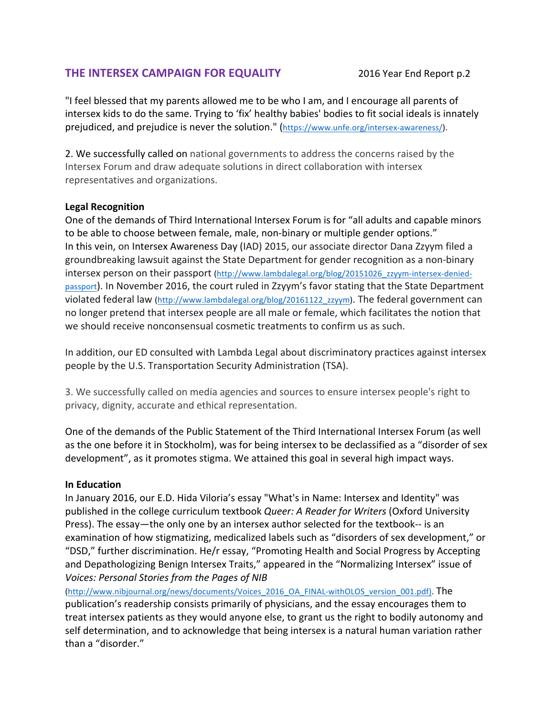# **THE INTERSEX CAMPAIGN FOR EQUALITY** 2016 Year End Report p.2

"I feel blessed that my parents allowed me to be who I am, and I encourage all parents of intersex kids to do the same. Trying to 'fix' healthy babies' bodies to fit social ideals is innately prejudiced, and prejudice is never the solution." (https://www.unfe.org/intersex-awareness/).

2. We successfully called on national governments to address the concerns raised by the Intersex Forum and draw adequate solutions in direct collaboration with intersex representatives and organizations.

## **Legal Recognition**

One of the demands of Third International Intersex Forum is for "all adults and capable minors to be able to choose between female, male, non-binary or multiple gender options." In this vein, on Intersex Awareness Day (IAD) 2015, our associate director Dana Zzyym filed a groundbreaking lawsuit against the State Department for gender recognition as a non-binary intersex person on their passport (http://www.lambdalegal.org/blog/20151026\_zzyym-intersex-deniedpassport). In November 2016, the court ruled in Zzyym's favor stating that the State Department violated federal law (http://www.lambdalegal.org/blog/20161122\_zzyym). The federal government can no longer pretend that intersex people are all male or female, which facilitates the notion that we should receive nonconsensual cosmetic treatments to confirm us as such.

In addition, our ED consulted with Lambda Legal about discriminatory practices against intersex people by the U.S. Transportation Security Administration (TSA).

3. We successfully called on media agencies and sources to ensure intersex people's right to privacy, dignity, accurate and ethical representation.

One of the demands of the Public Statement of the Third International Intersex Forum (as well as the one before it in Stockholm), was for being intersex to be declassified as a "disorder of sex development", as it promotes stigma. We attained this goal in several high impact ways.

## **In Education**

In January 2016, our E.D. Hida Viloria's essay "What's in Name: Intersex and Identity" was published in the college curriculum textbook *Queer: A Reader for Writers* (Oxford University Press). The essay—the only one by an intersex author selected for the textbook-- is an examination of how stigmatizing, medicalized labels such as "disorders of sex development," or "DSD," further discrimination. He/r essay, "Promoting Health and Social Progress by Accepting and Depathologizing Benign Intersex Traits," appeared in the "Normalizing Intersex" issue of *Voices: Personal Stories from the Pages of NIB* 

(http://www.nibjournal.org/news/documents/Voices\_2016\_OA\_FINAL-withOLOS\_version\_001.pdf). The publication's readership consists primarily of physicians, and the essay encourages them to treat intersex patients as they would anyone else, to grant us the right to bodily autonomy and self determination, and to acknowledge that being intersex is a natural human variation rather than a "disorder."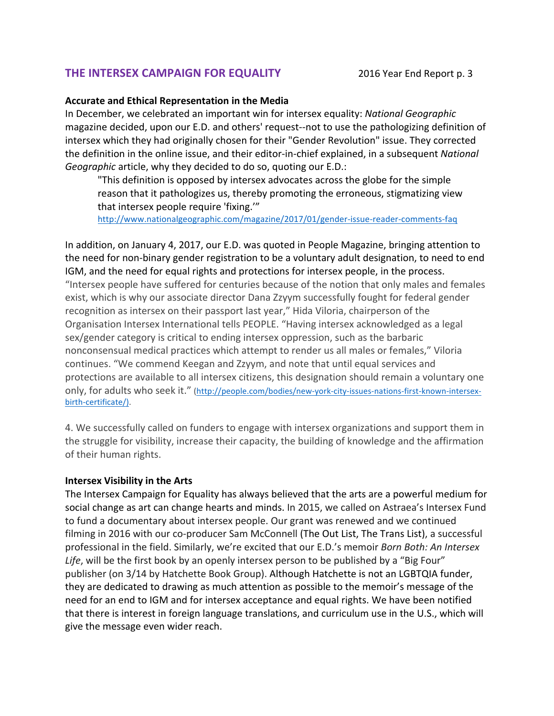# **THE INTERSEX CAMPAIGN FOR EQUALITY** 2016 Year End Report p. 3

#### **Accurate and Ethical Representation in the Media**

In December, we celebrated an important win for intersex equality: National Geographic magazine decided, upon our E.D. and others' request--not to use the pathologizing definition of intersex which they had originally chosen for their "Gender Revolution" issue. They corrected the definition in the online issue, and their editor-in-chief explained, in a subsequent National *Geographic* article, why they decided to do so, quoting our E.D.:

"This definition is opposed by intersex advocates across the globe for the simple reason that it pathologizes us, thereby promoting the erroneous, stigmatizing view that intersex people require 'fixing.'"

http://www.nationalgeographic.com/magazine/2017/01/gender-issue-reader-comments-faq

In addition, on January 4, 2017, our E.D. was quoted in People Magazine, bringing attention to the need for non-binary gender registration to be a voluntary adult designation, to need to end IGM, and the need for equal rights and protections for intersex people, in the process. "Intersex people have suffered for centuries because of the notion that only males and females exist, which is why our associate director Dana Zzyym successfully fought for federal gender recognition as intersex on their passport last year," Hida Viloria, chairperson of the Organisation Intersex International tells PEOPLE. "Having intersex acknowledged as a legal sex/gender category is critical to ending intersex oppression, such as the barbaric nonconsensual medical practices which attempt to render us all males or females," Viloria continues. "We commend Keegan and Zzyym, and note that until equal services and protections are available to all intersex citizens, this designation should remain a voluntary one only, for adults who seek it." (http://people.com/bodies/new-york-city-issues-nations-first-known-intersexbirth-certificate/).

4. We successfully called on funders to engage with intersex organizations and support them in the struggle for visibility, increase their capacity, the building of knowledge and the affirmation of their human rights.

#### **Intersex Visibility in the Arts**

The Intersex Campaign for Equality has always believed that the arts are a powerful medium for social change as art can change hearts and minds. In 2015, we called on Astraea's Intersex Fund to fund a documentary about intersex people. Our grant was renewed and we continued filming in 2016 with our co-producer Sam McConnell (The Out List, The Trans List), a successful professional in the field. Similarly, we're excited that our E.D.'s memoir *Born Both: An Intersex* Life, will be the first book by an openly intersex person to be published by a "Big Four" publisher (on 3/14 by Hatchette Book Group). Although Hatchette is not an LGBTQIA funder, they are dedicated to drawing as much attention as possible to the memoir's message of the need for an end to IGM and for intersex acceptance and equal rights. We have been notified that there is interest in foreign language translations, and curriculum use in the U.S., which will give the message even wider reach.